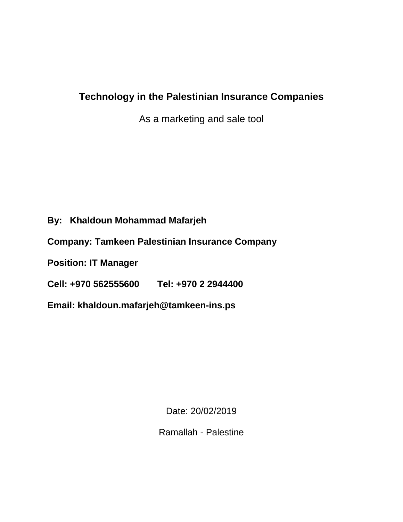# **Technology in the Palestinian Insurance Companies**

As a marketing and sale tool

# **By: Khaldoun Mohammad Mafarjeh**

**Company: Tamkeen Palestinian Insurance Company**

**Position: IT Manager**

**Cell: +970 562555600 Tel: +970 2 2944400**

**Email: khaldoun.mafarjeh@tamkeen-ins.ps**

Date: 20/02/2019

Ramallah - Palestine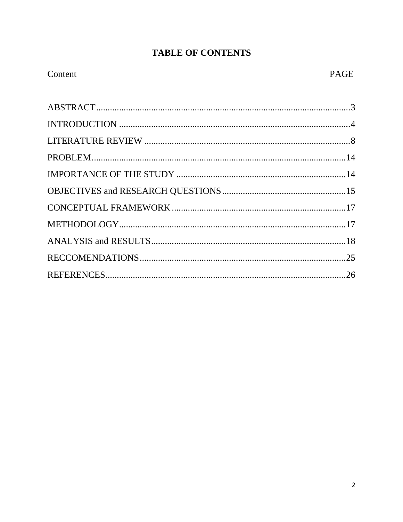# **TABLE OF CONTENTS**

# Content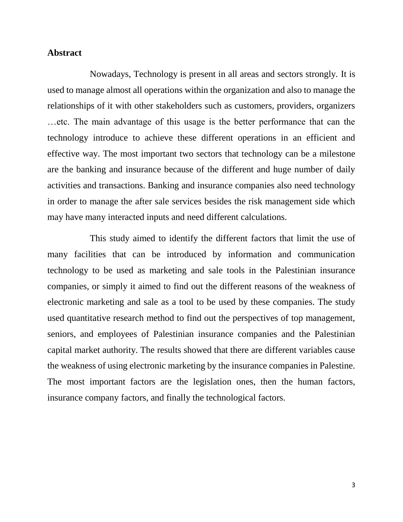#### **Abstract**

Nowadays, Technology is present in all areas and sectors strongly. It is used to manage almost all operations within the organization and also to manage the relationships of it with other stakeholders such as customers, providers, organizers …etc. The main advantage of this usage is the better performance that can the technology introduce to achieve these different operations in an efficient and effective way. The most important two sectors that technology can be a milestone are the banking and insurance because of the different and huge number of daily activities and transactions. Banking and insurance companies also need technology in order to manage the after sale services besides the risk management side which may have many interacted inputs and need different calculations.

This study aimed to identify the different factors that limit the use of many facilities that can be introduced by information and communication technology to be used as marketing and sale tools in the Palestinian insurance companies, or simply it aimed to find out the different reasons of the weakness of electronic marketing and sale as a tool to be used by these companies. The study used quantitative research method to find out the perspectives of top management, seniors, and employees of Palestinian insurance companies and the Palestinian capital market authority. The results showed that there are different variables cause the weakness of using electronic marketing by the insurance companies in Palestine. The most important factors are the legislation ones, then the human factors, insurance company factors, and finally the technological factors.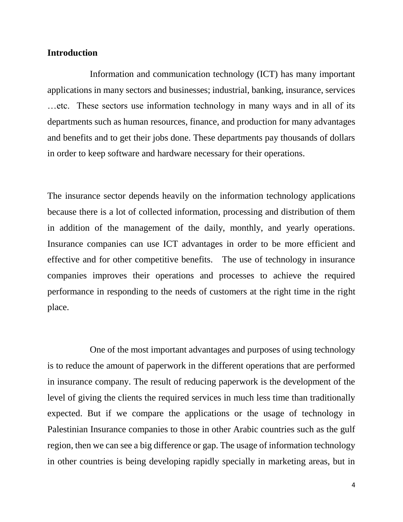#### **Introduction**

Information and communication technology (ICT) has many important applications in many sectors and businesses; industrial, banking, insurance, services …etc. These sectors use information technology in many ways and in all of its departments such as human resources, finance, and production for many advantages and benefits and to get their jobs done. These departments pay thousands of dollars in order to keep software and hardware necessary for their operations.

The insurance sector depends heavily on the information technology applications because there is a lot of collected information, processing and distribution of them in addition of the management of the daily, monthly, and yearly operations. Insurance companies can use ICT advantages in order to be more efficient and effective and for other competitive benefits. The use of technology in insurance companies improves their operations and processes to achieve the required performance in responding to the needs of customers at the right time in the right place.

One of the most important advantages and purposes of using technology is to reduce the amount of paperwork in the different operations that are performed in insurance company. The result of reducing paperwork is the development of the level of giving the clients the required services in much less time than traditionally expected. But if we compare the applications or the usage of technology in Palestinian Insurance companies to those in other Arabic countries such as the gulf region, then we can see a big difference or gap. The usage of information technology in other countries is being developing rapidly specially in marketing areas, but in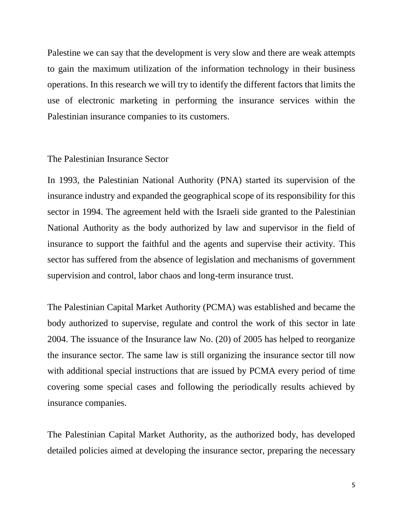Palestine we can say that the development is very slow and there are weak attempts to gain the maximum utilization of the information technology in their business operations. In this research we will try to identify the different factors that limits the use of electronic marketing in performing the insurance services within the Palestinian insurance companies to its customers.

#### The Palestinian Insurance Sector

In 1993, the Palestinian National Authority (PNA) started its supervision of the insurance industry and expanded the geographical scope of its responsibility for this sector in 1994. The agreement held with the Israeli side granted to the Palestinian National Authority as the body authorized by law and supervisor in the field of insurance to support the faithful and the agents and supervise their activity. This sector has suffered from the absence of legislation and mechanisms of government supervision and control, labor chaos and long-term insurance trust.

The Palestinian Capital Market Authority (PCMA) was established and became the body authorized to supervise, regulate and control the work of this sector in late 2004. The issuance of the Insurance law No. (20) of 2005 has helped to reorganize the insurance sector. The same law is still organizing the insurance sector till now with additional special instructions that are issued by PCMA every period of time covering some special cases and following the periodically results achieved by insurance companies.

The Palestinian Capital Market Authority, as the authorized body, has developed detailed policies aimed at developing the insurance sector, preparing the necessary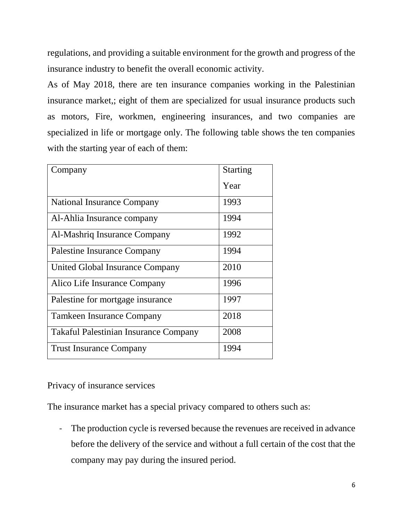regulations, and providing a suitable environment for the growth and progress of the insurance industry to benefit the overall economic activity.

As of May 2018, there are ten insurance companies working in the Palestinian insurance market,; eight of them are specialized for usual insurance products such as motors, Fire, workmen, engineering insurances, and two companies are specialized in life or mortgage only. The following table shows the ten companies with the starting year of each of them:

| Company                                      | <b>Starting</b> |
|----------------------------------------------|-----------------|
|                                              | Year            |
| National Insurance Company                   | 1993            |
| Al-Ahlia Insurance company                   | 1994            |
| Al-Mashriq Insurance Company                 | 1992            |
| Palestine Insurance Company                  | 1994            |
| United Global Insurance Company              | 2010            |
| Alico Life Insurance Company                 | 1996            |
| Palestine for mortgage insurance             | 1997            |
| <b>Tamkeen Insurance Company</b>             | 2018            |
| <b>Takaful Palestinian Insurance Company</b> | 2008            |
| <b>Trust Insurance Company</b>               | 1994            |

Privacy of insurance services

The insurance market has a special privacy compared to others such as:

- The production cycle is reversed because the revenues are received in advance before the delivery of the service and without a full certain of the cost that the company may pay during the insured period.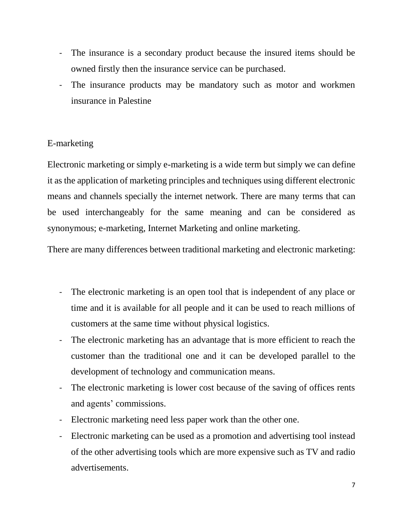- The insurance is a secondary product because the insured items should be owned firstly then the insurance service can be purchased.
- The insurance products may be mandatory such as motor and workmen insurance in Palestine

# E-marketing

Electronic marketing or simply e-marketing is a wide term but simply we can define it as the application of marketing principles and techniques using different electronic means and channels specially the internet network. There are many terms that can be used interchangeably for the same meaning and can be considered as synonymous; e-marketing, Internet Marketing and online marketing.

There are many differences between traditional marketing and electronic marketing:

- The electronic marketing is an open tool that is independent of any place or time and it is available for all people and it can be used to reach millions of customers at the same time without physical logistics.
- The electronic marketing has an advantage that is more efficient to reach the customer than the traditional one and it can be developed parallel to the development of technology and communication means.
- The electronic marketing is lower cost because of the saving of offices rents and agents' commissions.
- Electronic marketing need less paper work than the other one.
- Electronic marketing can be used as a promotion and advertising tool instead of the other advertising tools which are more expensive such as TV and radio advertisements.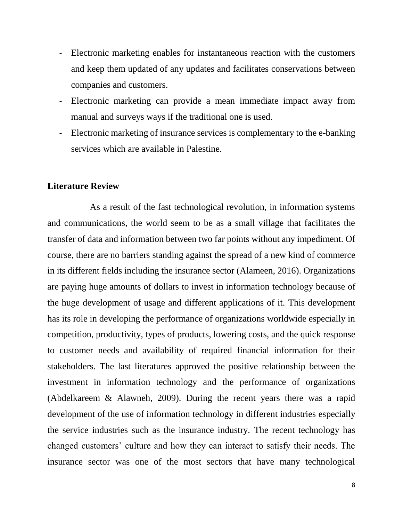- Electronic marketing enables for instantaneous reaction with the customers and keep them updated of any updates and facilitates conservations between companies and customers.
- Electronic marketing can provide a mean immediate impact away from manual and surveys ways if the traditional one is used.
- Electronic marketing of insurance services is complementary to the e-banking services which are available in Palestine.

### **Literature Review**

As a result of the fast technological revolution, in information systems and communications, the world seem to be as a small village that facilitates the transfer of data and information between two far points without any impediment. Of course, there are no barriers standing against the spread of a new kind of commerce in its different fields including the insurance sector (Alameen, 2016). Organizations are paying huge amounts of dollars to invest in information technology because of the huge development of usage and different applications of it. This development has its role in developing the performance of organizations worldwide especially in competition, productivity, types of products, lowering costs, and the quick response to customer needs and availability of required financial information for their stakeholders. The last literatures approved the positive relationship between the investment in information technology and the performance of organizations (Abdelkareem & Alawneh, 2009). During the recent years there was a rapid development of the use of information technology in different industries especially the service industries such as the insurance industry. The recent technology has changed customers' culture and how they can interact to satisfy their needs. The insurance sector was one of the most sectors that have many technological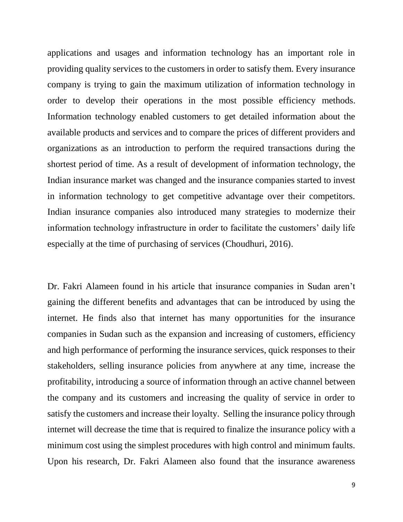applications and usages and information technology has an important role in providing quality services to the customers in order to satisfy them. Every insurance company is trying to gain the maximum utilization of information technology in order to develop their operations in the most possible efficiency methods. Information technology enabled customers to get detailed information about the available products and services and to compare the prices of different providers and organizations as an introduction to perform the required transactions during the shortest period of time. As a result of development of information technology, the Indian insurance market was changed and the insurance companies started to invest in information technology to get competitive advantage over their competitors. Indian insurance companies also introduced many strategies to modernize their information technology infrastructure in order to facilitate the customers' daily life especially at the time of purchasing of services (Choudhuri, 2016).

Dr. Fakri Alameen found in his article that insurance companies in Sudan aren't gaining the different benefits and advantages that can be introduced by using the internet. He finds also that internet has many opportunities for the insurance companies in Sudan such as the expansion and increasing of customers, efficiency and high performance of performing the insurance services, quick responses to their stakeholders, selling insurance policies from anywhere at any time, increase the profitability, introducing a source of information through an active channel between the company and its customers and increasing the quality of service in order to satisfy the customers and increase their loyalty. Selling the insurance policy through internet will decrease the time that is required to finalize the insurance policy with a minimum cost using the simplest procedures with high control and minimum faults. Upon his research, Dr. Fakri Alameen also found that the insurance awareness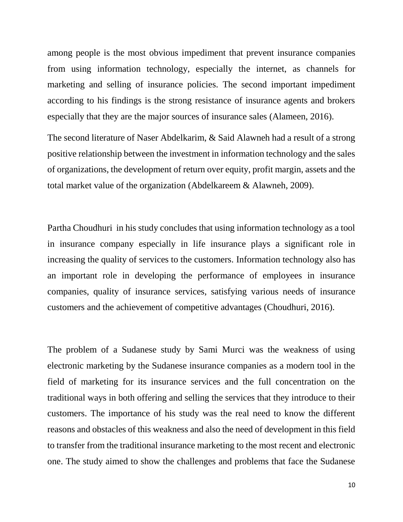among people is the most obvious impediment that prevent insurance companies from using information technology, especially the internet, as channels for marketing and selling of insurance policies. The second important impediment according to his findings is the strong resistance of insurance agents and brokers especially that they are the major sources of insurance sales (Alameen, 2016).

The second literature of Naser Abdelkarim, & Said Alawneh had a result of a strong positive relationship between the investment in information technology and the sales of organizations, the development of return over equity, profit margin, assets and the total market value of the organization (Abdelkareem & Alawneh, 2009).

Partha Choudhuri in his study concludes that using information technology as a tool in insurance company especially in life insurance plays a significant role in increasing the quality of services to the customers. Information technology also has an important role in developing the performance of employees in insurance companies, quality of insurance services, satisfying various needs of insurance customers and the achievement of competitive advantages (Choudhuri, 2016).

The problem of a Sudanese study by Sami Murci was the weakness of using electronic marketing by the Sudanese insurance companies as a modern tool in the field of marketing for its insurance services and the full concentration on the traditional ways in both offering and selling the services that they introduce to their customers. The importance of his study was the real need to know the different reasons and obstacles of this weakness and also the need of development in this field to transfer from the traditional insurance marketing to the most recent and electronic one. The study aimed to show the challenges and problems that face the Sudanese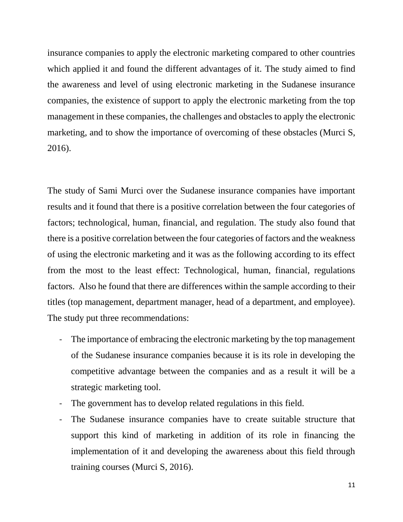insurance companies to apply the electronic marketing compared to other countries which applied it and found the different advantages of it. The study aimed to find the awareness and level of using electronic marketing in the Sudanese insurance companies, the existence of support to apply the electronic marketing from the top management in these companies, the challenges and obstacles to apply the electronic marketing, and to show the importance of overcoming of these obstacles (Murci S, 2016).

The study of Sami Murci over the Sudanese insurance companies have important results and it found that there is a positive correlation between the four categories of factors; technological, human, financial, and regulation. The study also found that there is a positive correlation between the four categories of factors and the weakness of using the electronic marketing and it was as the following according to its effect from the most to the least effect: Technological, human, financial, regulations factors. Also he found that there are differences within the sample according to their titles (top management, department manager, head of a department, and employee). The study put three recommendations:

- The importance of embracing the electronic marketing by the top management of the Sudanese insurance companies because it is its role in developing the competitive advantage between the companies and as a result it will be a strategic marketing tool.
- The government has to develop related regulations in this field.
- The Sudanese insurance companies have to create suitable structure that support this kind of marketing in addition of its role in financing the implementation of it and developing the awareness about this field through training courses (Murci S, 2016).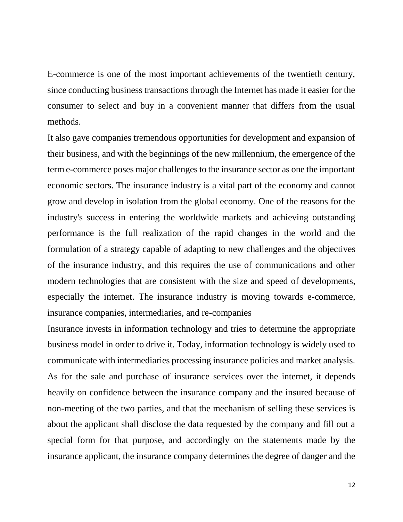E-commerce is one of the most important achievements of the twentieth century, since conducting business transactions through the Internet has made it easier for the consumer to select and buy in a convenient manner that differs from the usual methods.

It also gave companies tremendous opportunities for development and expansion of their business, and with the beginnings of the new millennium, the emergence of the term e-commerce poses major challenges to the insurance sector as one the important economic sectors. The insurance industry is a vital part of the economy and cannot grow and develop in isolation from the global economy. One of the reasons for the industry's success in entering the worldwide markets and achieving outstanding performance is the full realization of the rapid changes in the world and the formulation of a strategy capable of adapting to new challenges and the objectives of the insurance industry, and this requires the use of communications and other modern technologies that are consistent with the size and speed of developments, especially the internet. The insurance industry is moving towards e-commerce, insurance companies, intermediaries, and re-companies

Insurance invests in information technology and tries to determine the appropriate business model in order to drive it. Today, information technology is widely used to communicate with intermediaries processing insurance policies and market analysis. As for the sale and purchase of insurance services over the internet, it depends heavily on confidence between the insurance company and the insured because of non-meeting of the two parties, and that the mechanism of selling these services is about the applicant shall disclose the data requested by the company and fill out a special form for that purpose, and accordingly on the statements made by the insurance applicant, the insurance company determines the degree of danger and the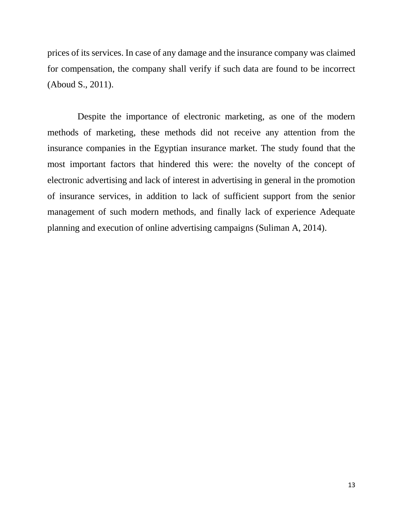prices of its services. In case of any damage and the insurance company was claimed for compensation, the company shall verify if such data are found to be incorrect (Aboud S., 2011).

Despite the importance of electronic marketing, as one of the modern methods of marketing, these methods did not receive any attention from the insurance companies in the Egyptian insurance market. The study found that the most important factors that hindered this were: the novelty of the concept of electronic advertising and lack of interest in advertising in general in the promotion of insurance services, in addition to lack of sufficient support from the senior management of such modern methods, and finally lack of experience Adequate planning and execution of online advertising campaigns (Suliman A, 2014).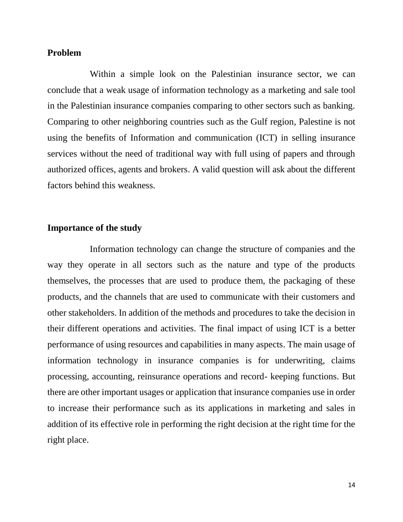#### **Problem**

Within a simple look on the Palestinian insurance sector, we can conclude that a weak usage of information technology as a marketing and sale tool in the Palestinian insurance companies comparing to other sectors such as banking. Comparing to other neighboring countries such as the Gulf region, Palestine is not using the benefits of Information and communication (ICT) in selling insurance services without the need of traditional way with full using of papers and through authorized offices, agents and brokers. A valid question will ask about the different factors behind this weakness.

### **Importance of the study**

Information technology can change the structure of companies and the way they operate in all sectors such as the nature and type of the products themselves, the processes that are used to produce them, the packaging of these products, and the channels that are used to communicate with their customers and other stakeholders. In addition of the methods and procedures to take the decision in their different operations and activities. The final impact of using ICT is a better performance of using resources and capabilities in many aspects. The main usage of information technology in insurance companies is for underwriting, claims processing, accounting, reinsurance operations and record- keeping functions. But there are other important usages or application that insurance companies use in order to increase their performance such as its applications in marketing and sales in addition of its effective role in performing the right decision at the right time for the right place.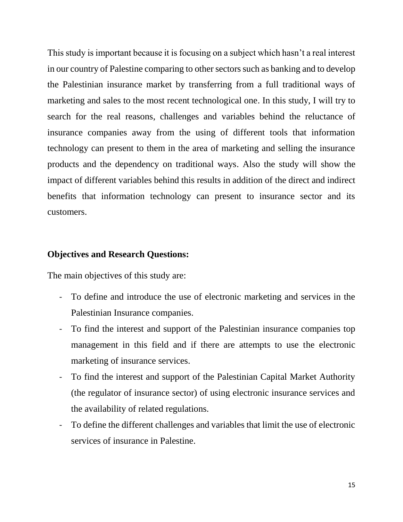This study is important because it is focusing on a subject which hasn't a real interest in our country of Palestine comparing to other sectors such as banking and to develop the Palestinian insurance market by transferring from a full traditional ways of marketing and sales to the most recent technological one. In this study, I will try to search for the real reasons, challenges and variables behind the reluctance of insurance companies away from the using of different tools that information technology can present to them in the area of marketing and selling the insurance products and the dependency on traditional ways. Also the study will show the impact of different variables behind this results in addition of the direct and indirect benefits that information technology can present to insurance sector and its customers.

#### **Objectives and Research Questions:**

The main objectives of this study are:

- To define and introduce the use of electronic marketing and services in the Palestinian Insurance companies.
- To find the interest and support of the Palestinian insurance companies top management in this field and if there are attempts to use the electronic marketing of insurance services.
- To find the interest and support of the Palestinian Capital Market Authority (the regulator of insurance sector) of using electronic insurance services and the availability of related regulations.
- To define the different challenges and variables that limit the use of electronic services of insurance in Palestine.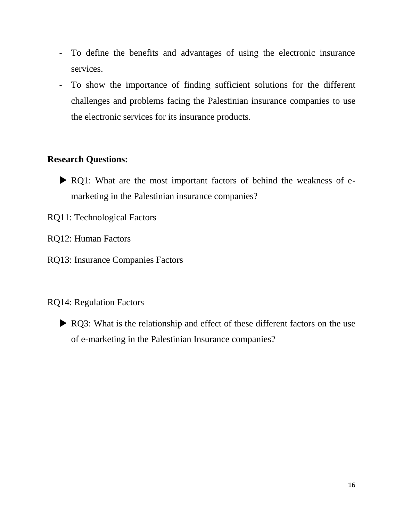- To define the benefits and advantages of using the electronic insurance services.
- To show the importance of finding sufficient solutions for the different challenges and problems facing the Palestinian insurance companies to use the electronic services for its insurance products.

# **Research Questions:**

- RQ1: What are the most important factors of behind the weakness of emarketing in the Palestinian insurance companies?
- RQ11: Technological Factors
- RQ12: Human Factors
- RQ13: Insurance Companies Factors
- RQ14: Regulation Factors
	- RQ3: What is the relationship and effect of these different factors on the use of e-marketing in the Palestinian Insurance companies?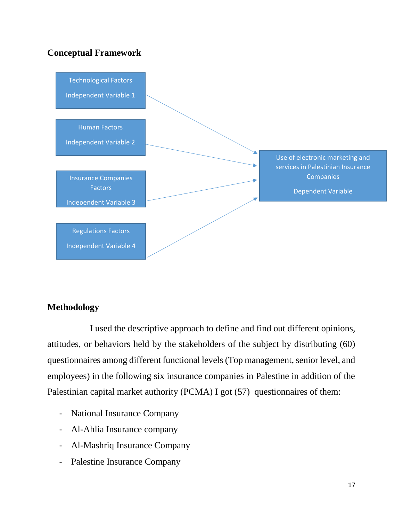# **Conceptual Framework**



## **Methodology**

I used the descriptive approach to define and find out different opinions, attitudes, or behaviors held by the stakeholders of the subject by distributing (60) questionnaires among different functional levels (Top management, senior level, and employees) in the following six insurance companies in Palestine in addition of the Palestinian capital market authority (PCMA) I got (57) questionnaires of them:

- National Insurance Company
- Al-Ahlia Insurance company
- Al-Mashriq Insurance Company
- Palestine Insurance Company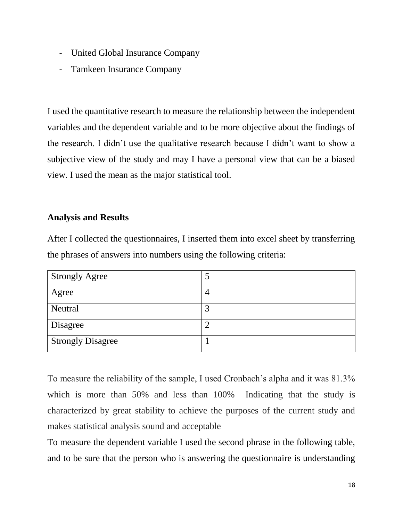- United Global Insurance Company
- Tamkeen Insurance Company

I used the quantitative research to measure the relationship between the independent variables and the dependent variable and to be more objective about the findings of the research. I didn't use the qualitative research because I didn't want to show a subjective view of the study and may I have a personal view that can be a biased view. I used the mean as the major statistical tool.

### **Analysis and Results**

After I collected the questionnaires, I inserted them into excel sheet by transferring the phrases of answers into numbers using the following criteria:

| <b>Strongly Agree</b>    |  |
|--------------------------|--|
| Agree                    |  |
| Neutral                  |  |
| <b>Disagree</b>          |  |
| <b>Strongly Disagree</b> |  |

To measure the reliability of the sample, I used Cronbach's alpha and it was 81.3% which is more than 50% and less than 100% Indicating that the study is characterized by great stability to achieve the purposes of the current study and makes statistical analysis sound and acceptable

To measure the dependent variable I used the second phrase in the following table, and to be sure that the person who is answering the questionnaire is understanding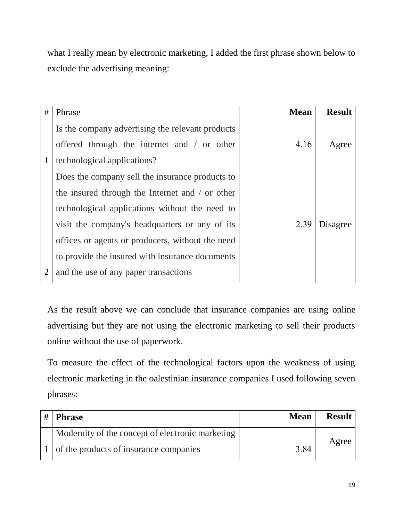what I really mean by electronic marketing, I added the first phrase shown below to exclude the advertising meaning:

| #              | Phrase                                           | <b>Mean</b> | <b>Result</b> |
|----------------|--------------------------------------------------|-------------|---------------|
|                | Is the company advertising the relevant products |             |               |
|                | offered through the internet and / or other      | 4.16        | Agree         |
| $\mathbf{1}$   | technological applications?                      |             |               |
|                | Does the company sell the insurance products to  |             |               |
|                | the insured through the Internet and / or other  |             |               |
|                | technological applications without the need to   |             |               |
|                | visit the company's headquarters or any of its   | 2.39        | Disagree      |
|                | offices or agents or producers, without the need |             |               |
|                | to provide the insured with insurance documents  |             |               |
| $\overline{2}$ | and the use of any paper transactions            |             |               |

As the result above we can conclude that insurance companies are using online advertising but they are not using the electronic marketing to sell their products online without the use of paperwork.

To measure the effect of the technological factors upon the weakness of using electronic marketing in the oalestinian insurance companies I used following seven phrases:

| # | <b>Phrase</b>                                    | <b>Mean</b> | <b>Result</b> |
|---|--------------------------------------------------|-------------|---------------|
|   | Modernity of the concept of electronic marketing |             |               |
|   | of the products of insurance companies           | 3.84        | Agree         |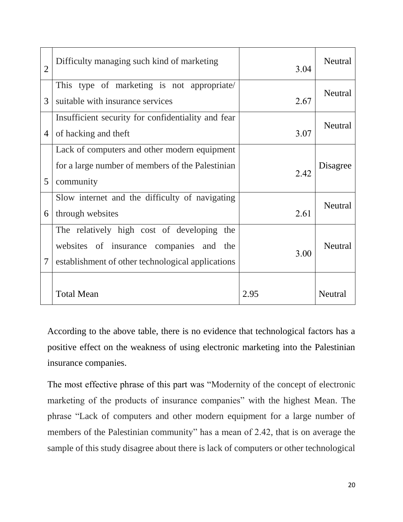| $\overline{2}$ | Difficulty managing such kind of marketing         | 3.04 | <b>Neutral</b> |
|----------------|----------------------------------------------------|------|----------------|
|                | This type of marketing is not appropriate/         |      | Neutral        |
| 3              | suitable with insurance services                   | 2.67 |                |
|                | Insufficient security for confidentiality and fear |      | Neutral        |
| $\overline{4}$ | of hacking and theft                               | 3.07 |                |
|                | Lack of computers and other modern equipment       |      |                |
|                | for a large number of members of the Palestinian   | 2.42 | Disagree       |
| 5              | community                                          |      |                |
|                | Slow internet and the difficulty of navigating     |      | <b>Neutral</b> |
| 6              | through websites                                   | 2.61 |                |
|                | The relatively high cost of developing<br>the      |      |                |
|                | websites of insurance companies and the            | 3.00 | <b>Neutral</b> |
| $\tau$         | establishment of other technological applications  |      |                |
|                |                                                    |      |                |
|                | <b>Total Mean</b>                                  | 2.95 | <b>Neutral</b> |

According to the above table, there is no evidence that technological factors has a positive effect on the weakness of using electronic marketing into the Palestinian insurance companies.

The most effective phrase of this part was "Modernity of the concept of electronic marketing of the products of insurance companies" with the highest Mean. The phrase "Lack of computers and other modern equipment for a large number of members of the Palestinian community" has a mean of 2.42, that is on average the sample of this study disagree about there is lack of computers or other technological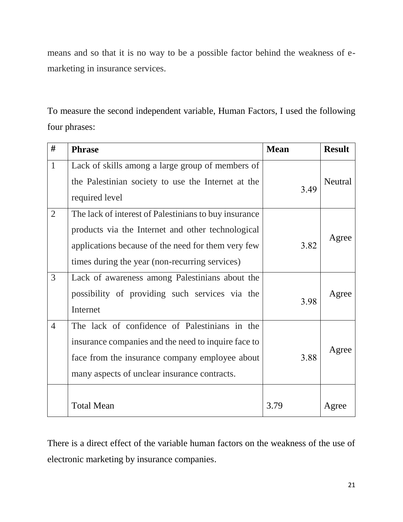means and so that it is no way to be a possible factor behind the weakness of emarketing in insurance services.

To measure the second independent variable, Human Factors, I used the following four phrases:

| #              | <b>Phrase</b>                                         | <b>Mean</b> | <b>Result</b> |
|----------------|-------------------------------------------------------|-------------|---------------|
| $\mathbf{1}$   | Lack of skills among a large group of members of      |             |               |
|                | the Palestinian society to use the Internet at the    | 3.49        | Neutral       |
|                | required level                                        |             |               |
| $\overline{2}$ | The lack of interest of Palestinians to buy insurance |             |               |
|                | products via the Internet and other technological     |             |               |
|                | applications because of the need for them very few    | 3.82        | Agree         |
|                | times during the year (non-recurring services)        |             |               |
| 3              | Lack of awareness among Palestinians about the        |             |               |
|                | possibility of providing such services via the        | 3.98        | Agree         |
|                | Internet                                              |             |               |
| $\overline{4}$ | The lack of confidence of Palestinians in the         |             |               |
|                | insurance companies and the need to inquire face to   |             |               |
|                | face from the insurance company employee about        | 3.88        | Agree         |
|                | many aspects of unclear insurance contracts.          |             |               |
|                |                                                       |             |               |
|                | <b>Total Mean</b>                                     | 3.79        | Agree         |

There is a direct effect of the variable human factors on the weakness of the use of electronic marketing by insurance companies.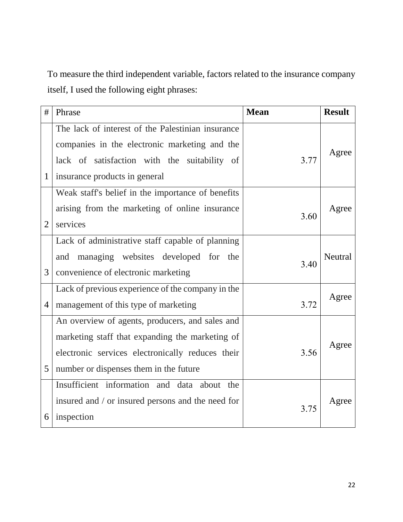To measure the third independent variable, factors related to the insurance company itself, I used the following eight phrases:

| #              | Phrase                                            | <b>Mean</b> | <b>Result</b> |
|----------------|---------------------------------------------------|-------------|---------------|
|                | The lack of interest of the Palestinian insurance |             |               |
|                | companies in the electronic marketing and the     |             | Agree         |
|                | lack of satisfaction with the suitability of      | 3.77        |               |
| $\mathbf{1}$   | insurance products in general                     |             |               |
|                | Weak staff's belief in the importance of benefits |             |               |
|                | arising from the marketing of online insurance    | 3.60        | Agree         |
| $\overline{2}$ | services                                          |             |               |
|                | Lack of administrative staff capable of planning  |             |               |
|                | and managing websites developed for the           | 3.40        | Neutral       |
| 3              | convenience of electronic marketing               |             |               |
|                | Lack of previous experience of the company in the |             | Agree         |
| $\overline{4}$ | management of this type of marketing              | 3.72        |               |
|                | An overview of agents, producers, and sales and   |             |               |
|                | marketing staff that expanding the marketing of   |             | Agree         |
|                | electronic services electronically reduces their  | 3.56        |               |
| 5              | number or dispenses them in the future            |             |               |
|                | Insufficient information and data about the       |             |               |
|                | insured and / or insured persons and the need for | 3.75        | Agree         |
| 6              | inspection                                        |             |               |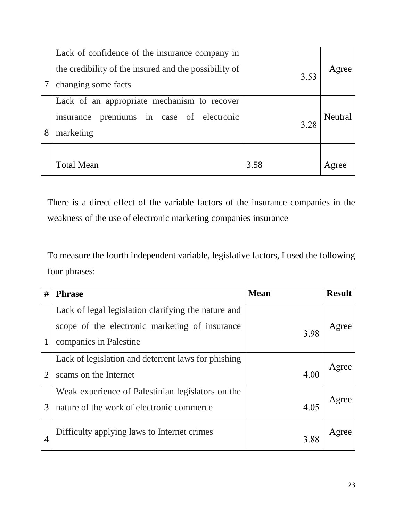|   | Lack of confidence of the insurance company in                                                       |      |                |
|---|------------------------------------------------------------------------------------------------------|------|----------------|
|   | the credibility of the insured and the possibility of                                                |      | Agree          |
|   | changing some facts                                                                                  | 3.53 |                |
| 8 | Lack of an appropriate mechanism to recover<br>insurance premiums in case of electronic<br>marketing | 3.28 | <b>Neutral</b> |
|   | <b>Total Mean</b>                                                                                    | 3.58 | Agree          |

There is a direct effect of the variable factors of the insurance companies in the weakness of the use of electronic marketing companies insurance

To measure the fourth independent variable, legislative factors, I used the following four phrases:

| #              | <b>Phrase</b>                                                                                                                   | <b>Mean</b> | <b>Result</b> |
|----------------|---------------------------------------------------------------------------------------------------------------------------------|-------------|---------------|
|                | Lack of legal legislation clarifying the nature and<br>scope of the electronic marketing of insurance<br>companies in Palestine | 3.98        | Agree         |
| $\overline{2}$ | Lack of legislation and deterrent laws for phishing<br>scams on the Internet                                                    | 4.00        | Agree         |
| 3              | Weak experience of Palestinian legislators on the<br>nature of the work of electronic commerce                                  | 4.05        | Agree         |
| 4              | Difficulty applying laws to Internet crimes                                                                                     | 3.88        | Agree         |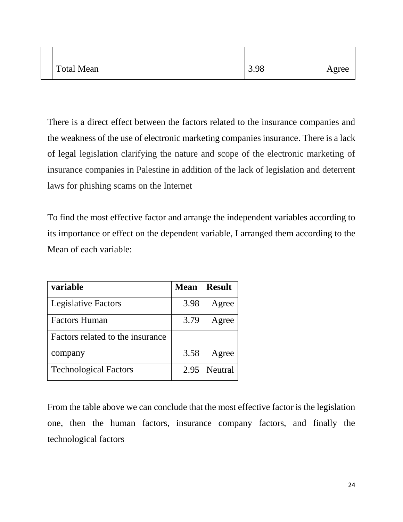| <b>Total Mean</b> | 3.98 | Agree |
|-------------------|------|-------|
|-------------------|------|-------|

There is a direct effect between the factors related to the insurance companies and the weakness of the use of electronic marketing companies insurance. There is a lack of legal legislation clarifying the nature and scope of the electronic marketing of insurance companies in Palestine in addition of the lack of legislation and deterrent laws for phishing scams on the Internet

To find the most effective factor and arrange the independent variables according to its importance or effect on the dependent variable, I arranged them according to the Mean of each variable:

| variable                         | <b>Mean</b> | <b>Result</b> |
|----------------------------------|-------------|---------------|
| <b>Legislative Factors</b>       | 3.98        | Agree         |
| <b>Factors Human</b>             | 3.79        | Agree         |
| Factors related to the insurance |             |               |
| company                          | 3.58        | Agree         |
| <b>Technological Factors</b>     | 2.95        | Neutral       |

From the table above we can conclude that the most effective factor is the legislation one, then the human factors, insurance company factors, and finally the technological factors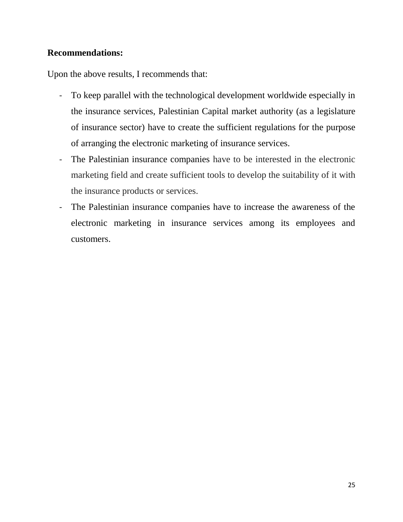## **Recommendations:**

Upon the above results, I recommends that:

- To keep parallel with the technological development worldwide especially in the insurance services, Palestinian Capital market authority (as a legislature of insurance sector) have to create the sufficient regulations for the purpose of arranging the electronic marketing of insurance services.
- The Palestinian insurance companies have to be interested in the electronic marketing field and create sufficient tools to develop the suitability of it with the insurance products or services.
- The Palestinian insurance companies have to increase the awareness of the electronic marketing in insurance services among its employees and customers.